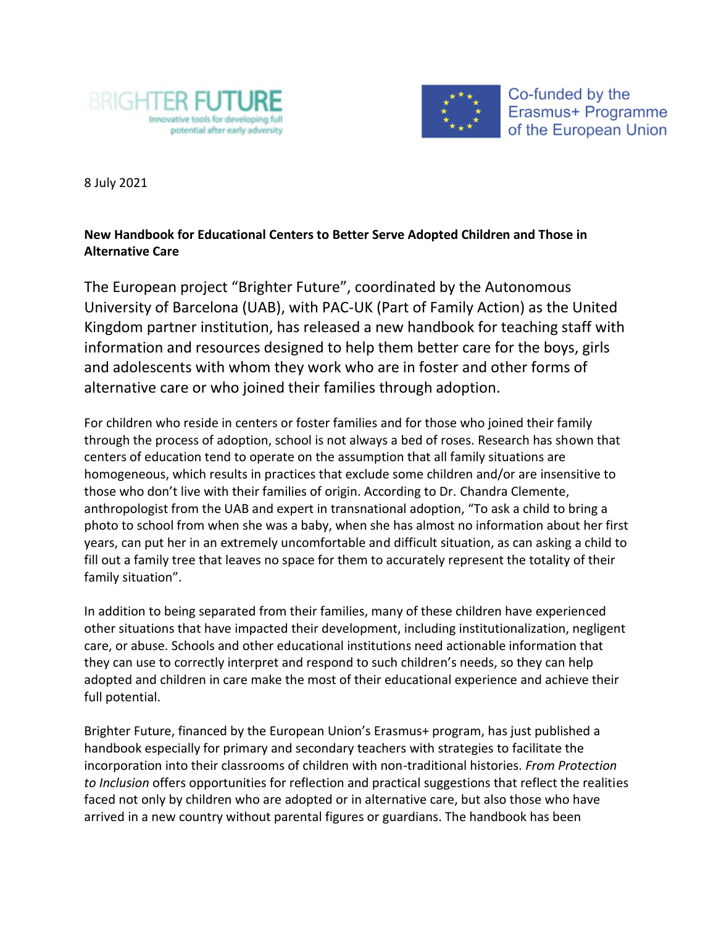



Co-funded by the Erasmus+ Programme of the European Union

8 July 2021

## **New Handbook for Educational Centers to Better Serve Adopted Children and Those in Alternative Care**

The European project "Brighter Future", coordinated by the Autonomous University of Barcelona (UAB), with PAC-UK (Part of Family Action) as the United Kingdom partner institution, has released a new handbook for teaching staff with information and resources designed to help them better care for the boys, girls and adolescents with whom they work who are in foster and other forms of alternative care or who joined their families through adoption.

For children who reside in centers or foster families and for those who joined their family through the process of adoption, school is not always a bed of roses. Research has shown that centers of education tend to operate on the assumption that all family situations are homogeneous, which results in practices that exclude some children and/or are insensitive to those who don't live with their families of origin. According to Dr. Chandra Clemente, anthropologist from the UAB and expert in transnational adoption, "To ask a child to bring a photo to school from when she was a baby, when she has almost no information about her first years, can put her in an extremely uncomfortable and difficult situation, as can asking a child to fill out a family tree that leaves no space for them to accurately represent the totality of their family situation".

In addition to being separated from their families, many of these children have experienced other situations that have impacted their development, including institutionalization, negligent care, or abuse. Schools and other educational institutions need actionable information that they can use to correctly interpret and respond to such children's needs, so they can help adopted and children in care make the most of their educational experience and achieve their full potential.

Brighter Future, financed by the European Union's Erasmus+ program, has just published a handbook especially for primary and secondary teachers with strategies to facilitate the incorporation into their classrooms of children with non-traditional histories. *From Protection to Inclusion* offers opportunities for reflection and practical suggestions that reflect the realities faced not only by children who are adopted or in alternative care, but also those who have arrived in a new country without parental figures or guardians. The handbook has been